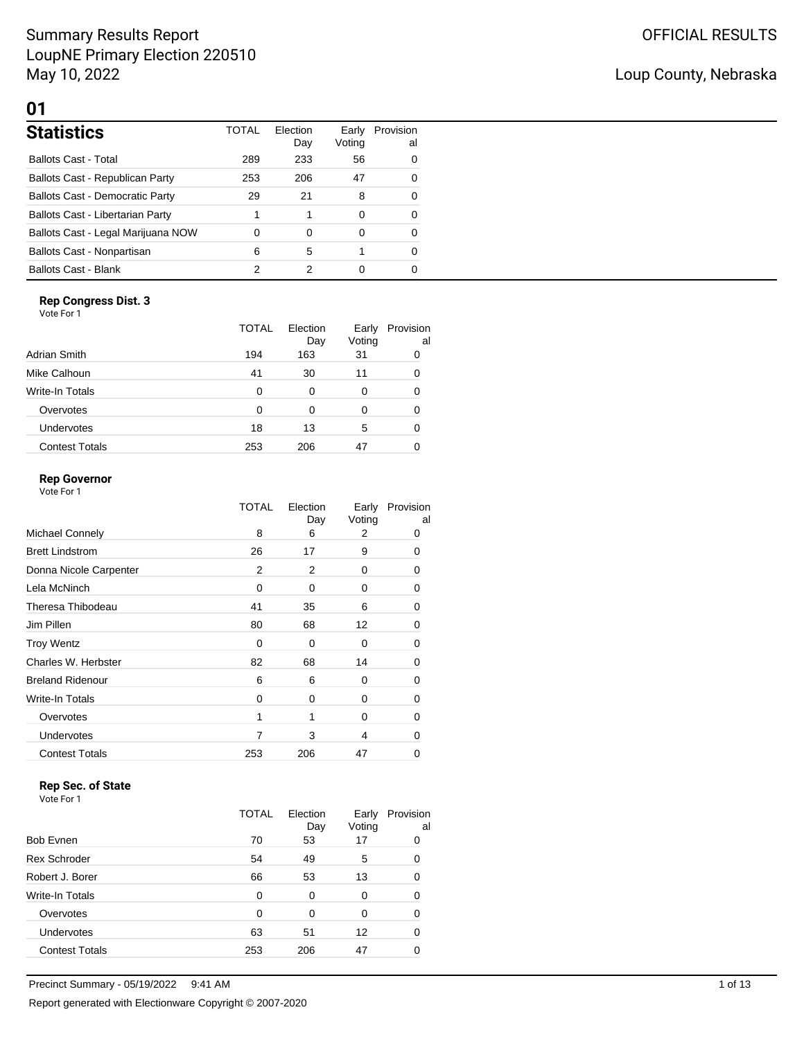## Summary Results Report LoupNE Primary Election 220510 May 10, 2022

L

## Loup County, Nebraska

## **01**

| <b>Statistics</b>                      | <b>TOTAL</b> | Election<br>Day | Voting | Early Provision<br>al |
|----------------------------------------|--------------|-----------------|--------|-----------------------|
| <b>Ballots Cast - Total</b>            | 289          | 233             | 56     | 0                     |
| Ballots Cast - Republican Party        | 253          | 206             | 47     | 0                     |
| <b>Ballots Cast - Democratic Party</b> | 29           | 21              | 8      | 0                     |
| Ballots Cast - Libertarian Party       |              |                 | 0      | 0                     |
| Ballots Cast - Legal Marijuana NOW     | $\mathbf 0$  | 0               | 0      | 0                     |
| Ballots Cast - Nonpartisan             | 6            | 5               |        | 0                     |
| <b>Ballots Cast - Blank</b>            | っ            | 2               | 0      | 0                     |

### **Rep Congress Dist. 3**

| Vote For 1 |  |
|------------|--|
|            |  |

|                       | TOTAL | Election<br>Day | Early<br>Voting | Provision<br>al |
|-----------------------|-------|-----------------|-----------------|-----------------|
| Adrian Smith          | 194   | 163             | 31              |                 |
| Mike Calhoun          | 41    | 30              | 11              |                 |
| Write-In Totals       | 0     | 0               | 0               |                 |
| Overvotes             | 0     | 0               | Ω               |                 |
| <b>Undervotes</b>     | 18    | 13              | 5               |                 |
| <b>Contest Totals</b> | 253   | 206             | 47              |                 |

### **Rep Governor**

Vote For 1

|                         | TOTAL | Election<br>Day | Early<br>Voting | Provision<br>al |
|-------------------------|-------|-----------------|-----------------|-----------------|
| Michael Connely         | 8     | 6               | 2               | 0               |
| <b>Brett Lindstrom</b>  | 26    | 17              | 9               | 0               |
| Donna Nicole Carpenter  | 2     | 2               | 0               | 0               |
| Lela McNinch            | 0     | $\Omega$        | 0               | 0               |
| Theresa Thibodeau       | 41    | 35              | 6               | 0               |
| Jim Pillen              | 80    | 68              | 12              | 0               |
| <b>Troy Wentz</b>       | 0     | 0               | 0               | 0               |
| Charles W. Herbster     | 82    | 68              | 14              | 0               |
| <b>Breland Ridenour</b> | 6     | 6               | 0               | 0               |
| Write-In Totals         | 0     | 0               | 0               | 0               |
| Overvotes               | 1     | 1               | 0               | 0               |
| <b>Undervotes</b>       | 7     | 3               | 4               | 0               |
| <b>Contest Totals</b>   | 253   | 206             | 47              | Ω               |
|                         |       |                 |                 |                 |

## **Rep Sec. of State**

| Vote For 1 |  |  |
|------------|--|--|

|                       | TOTAL | Election<br>Day | Early<br>Voting | Provision<br>al |
|-----------------------|-------|-----------------|-----------------|-----------------|
| <b>Bob Evnen</b>      | 70    | 53              | 17              | 0               |
| <b>Rex Schroder</b>   | 54    | 49              | 5               | 0               |
| Robert J. Borer       | 66    | 53              | 13              | 0               |
| Write-In Totals       | 0     | 0               | 0               | ∩               |
| Overvotes             | 0     | $\Omega$        | 0               | 0               |
| Undervotes            | 63    | 51              | 12              | 0               |
| <b>Contest Totals</b> | 253   | 206             | 47              |                 |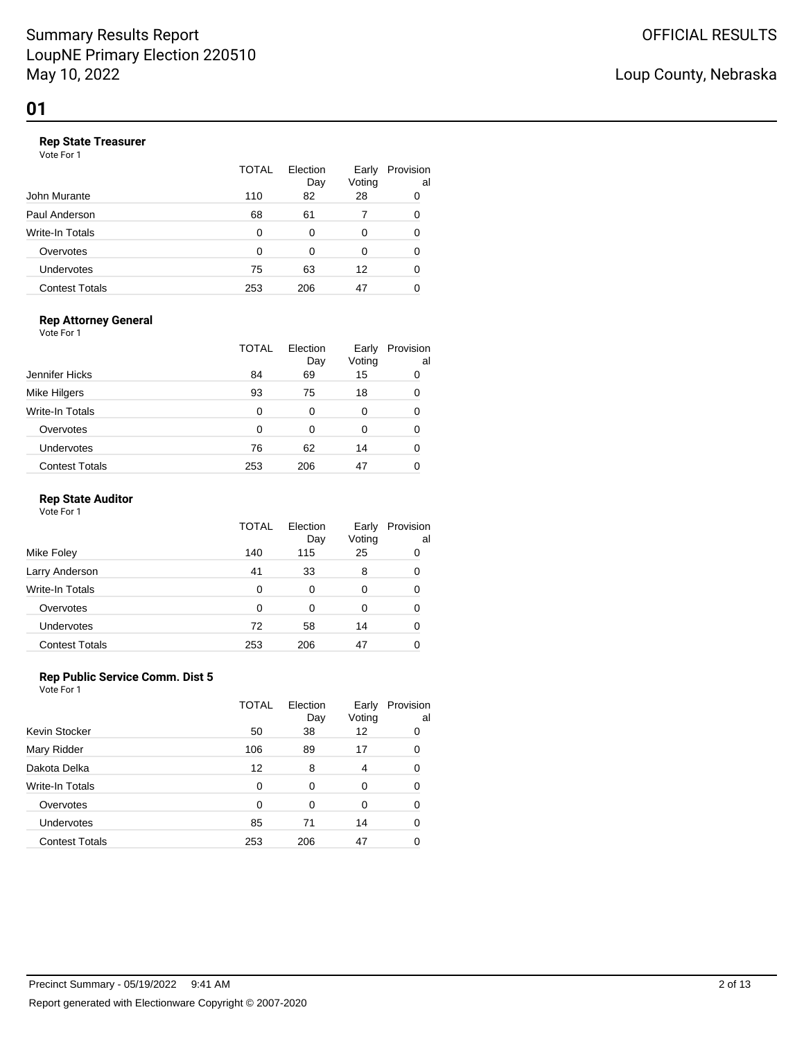### **Rep State Treasurer**

Vote For 1

|                       | <b>TOTAL</b> | Election<br>Day | Early<br>Voting | Provision<br>al |
|-----------------------|--------------|-----------------|-----------------|-----------------|
| John Murante          | 110          | 82              | 28              | 0               |
| Paul Anderson         | 68           | 61              |                 | 0               |
| Write-In Totals       | O            | 0               | 0               | 0               |
| Overvotes             | O            | 0               | 0               | 0               |
| Undervotes            | 75           | 63              | 12              | Ω               |
| <b>Contest Totals</b> | 253          | 206             | 47              |                 |

#### **Rep Attorney General**

Vote For 1

|                       | TOTAL | Election<br>Day | Early<br>Voting | Provision<br>al |
|-----------------------|-------|-----------------|-----------------|-----------------|
| Jennifer Hicks        | 84    | 69              | 15              |                 |
| Mike Hilgers          | 93    | 75              | 18              |                 |
| Write-In Totals       | 0     | 0               | 0               |                 |
| Overvotes             | 0     | 0               | 0               |                 |
| Undervotes            | 76    | 62              | 14              |                 |
| <b>Contest Totals</b> | 253   | 206             | 47              |                 |

### **Rep State Auditor**

Vote For 1

|                       | <b>TOTAL</b> | Election<br>Day | Early<br>Voting | Provision<br>al |
|-----------------------|--------------|-----------------|-----------------|-----------------|
| Mike Foley            | 140          | 115             | 25              |                 |
| Larry Anderson        | 41           | 33              | 8               |                 |
| Write-In Totals       | 0            | 0               | 0               |                 |
| Overvotes             | 0            | 0               | 0               |                 |
| Undervotes            | 72           | 58              | 14              |                 |
| <b>Contest Totals</b> | 253          | 206             | 47              |                 |

### **Rep Public Service Comm. Dist 5**

|                       | <b>TOTAL</b> | Election<br>Day | Early<br>Voting | Provision<br>al |
|-----------------------|--------------|-----------------|-----------------|-----------------|
| Kevin Stocker         | 50           | 38              | 12              | 0               |
| Mary Ridder           | 106          | 89              | 17              | 0               |
| Dakota Delka          | 12           | 8               | 4               |                 |
| Write-In Totals       | $\Omega$     | 0               | 0               | 0               |
| Overvotes             | $\Omega$     | 0               | 0               |                 |
| Undervotes            | 85           | 71              | 14              |                 |
| <b>Contest Totals</b> | 253          | 206             | 47              |                 |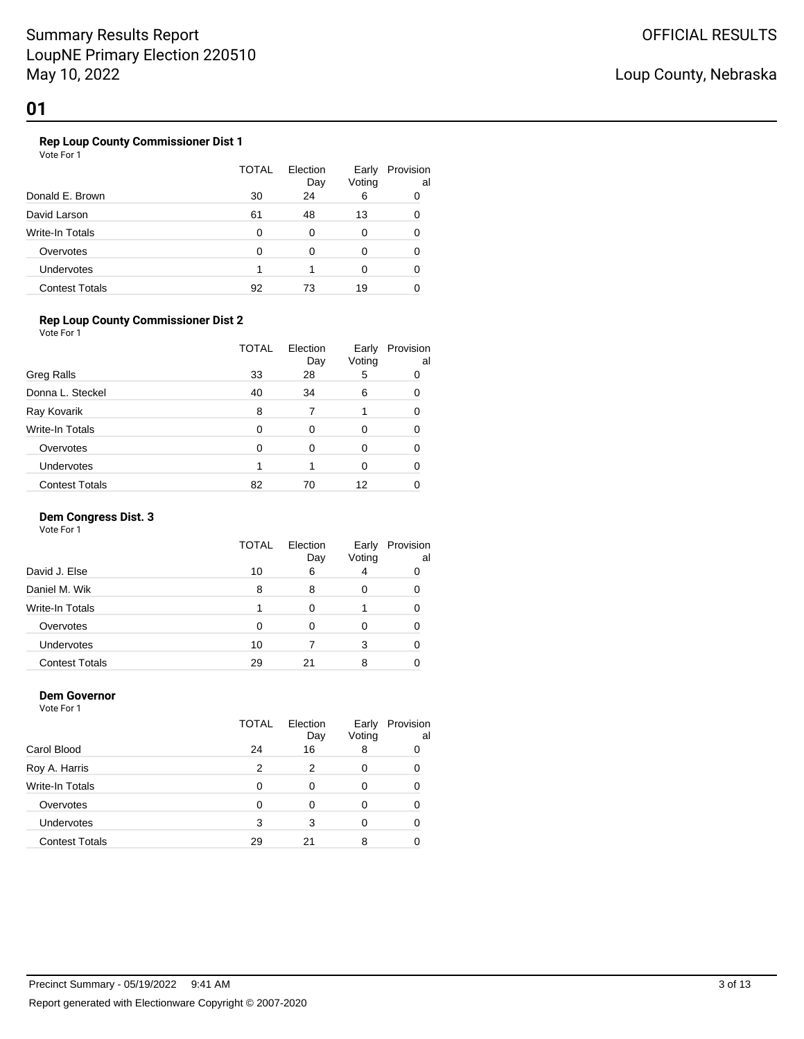## Loup County, Nebraska

## **01**

### **Rep Loup County Commissioner Dist 1**

Vote For 1

|                       | TOTAL | Election<br>Day | Early<br>Voting | Provision<br>al |
|-----------------------|-------|-----------------|-----------------|-----------------|
| Donald E. Brown       | 30    | 24              | 6               | 0               |
| David Larson          | 61    | 48              | 13              | 0               |
| Write-In Totals       | 0     | 0               | 0               |                 |
| Overvotes             | 0     | 0               | 0               | 0               |
| <b>Undervotes</b>     |       |                 | 0               |                 |
| <b>Contest Totals</b> | 92    | 73              | 19              |                 |

### **Rep Loup County Commissioner Dist 2**

Vote For 1

|                       | <b>TOTAL</b> | Election<br>Day | Early<br>Voting | Provision<br>al |
|-----------------------|--------------|-----------------|-----------------|-----------------|
| <b>Greg Ralls</b>     | 33           | 28              | 5               | 0               |
| Donna L. Steckel      | 40           | 34              | 6               | O               |
| Ray Kovarik           | 8            |                 |                 |                 |
| Write-In Totals       | 0            | 0               | 0               |                 |
| Overvotes             | 0            | 0               | 0               |                 |
| Undervotes            |              |                 | ი               |                 |
| <b>Contest Totals</b> | 82           | 70              | 12              |                 |

#### **Dem Congress Dist. 3**

Vote For 1

|                        | TOTAL | Election<br>Day | Early<br>Voting | Provision<br>al |
|------------------------|-------|-----------------|-----------------|-----------------|
| David J. Else          | 10    | 6               |                 |                 |
| Daniel M. Wik          | 8     | 8               | O               |                 |
| <b>Write-In Totals</b> |       | ∩               |                 |                 |
| Overvotes              | 0     | 0               |                 |                 |
| <b>Undervotes</b>      | 10    |                 | 3               |                 |
| <b>Contest Totals</b>  | 29    | 21              |                 |                 |

#### **Dem Governor** Vote For 1

|                       | <b>TOTAL</b> | Election<br>Day | Early<br>Voting | Provision<br>al |
|-----------------------|--------------|-----------------|-----------------|-----------------|
| Carol Blood           | 24           | 16              | 8               |                 |
| Roy A. Harris         | 2            | 2               | 0               |                 |
| Write-In Totals       | O            | 0               | 0               |                 |
| Overvotes             | O            | 0               | Ω               |                 |
| Undervotes            | 3            | 3               | 0               |                 |
| <b>Contest Totals</b> | 29           | 21              | 8               |                 |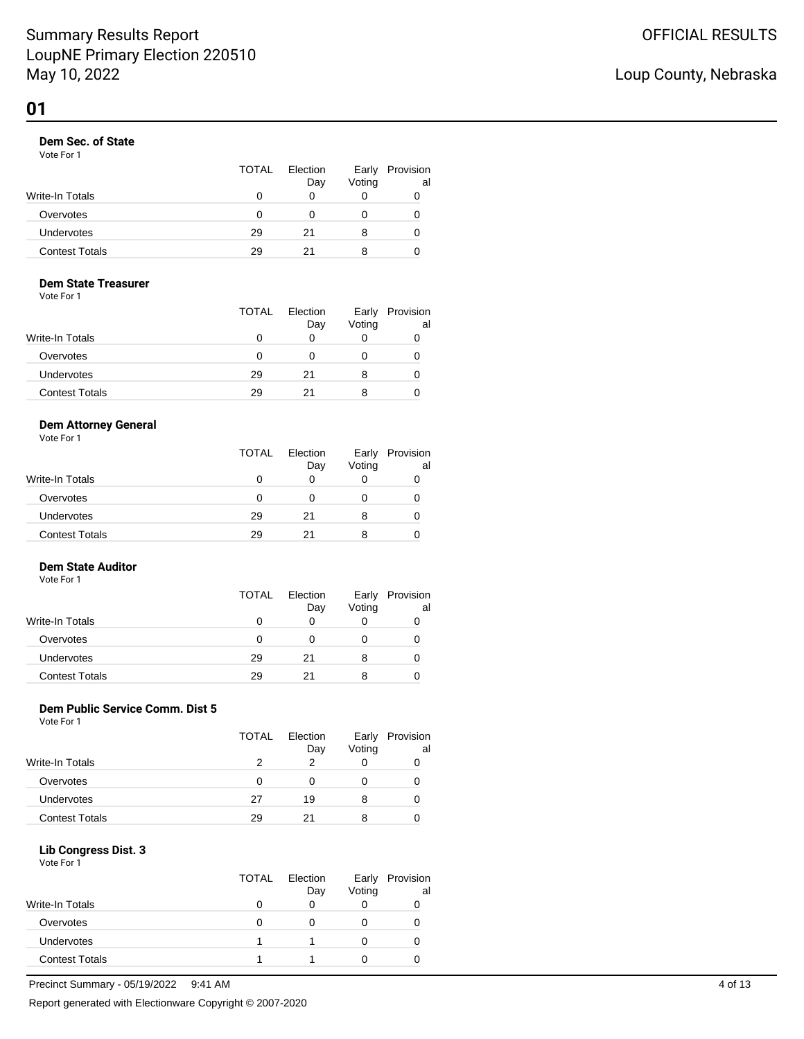### **Dem Sec. of State**

Vote For 1

|                       | <b>TOTAL</b> | Election<br>Day | Early<br>Voting | Provision<br>al |
|-----------------------|--------------|-----------------|-----------------|-----------------|
| Write-In Totals       |              |                 |                 |                 |
| Overvotes             | 0            |                 |                 |                 |
| Undervotes            | 29           | 21              | 8               | O               |
| <b>Contest Totals</b> | 29           | 21              | 8               |                 |

## **Dem State Treasurer**

Vote For 1

|                       | <b>TOTAL</b> | Election<br>Day | Early<br>Voting | Provision<br>al |
|-----------------------|--------------|-----------------|-----------------|-----------------|
| Write-In Totals       |              |                 |                 |                 |
| Overvotes             |              |                 |                 |                 |
| <b>Undervotes</b>     | 29           | 21              | 8               |                 |
| <b>Contest Totals</b> | 29           | 21              |                 |                 |

### **Dem Attorney General**

Vote For 1

|                       | TOTAL        | Election<br>Day | Early<br>Voting | Provision<br>al |
|-----------------------|--------------|-----------------|-----------------|-----------------|
| Write-In Totals       | $\mathbf{0}$ |                 |                 | 0               |
| Overvotes             | O            |                 |                 |                 |
| <b>Undervotes</b>     | 29           | 21              |                 |                 |
| <b>Contest Totals</b> | 29           | 21              |                 |                 |

### **Dem State Auditor**

Vote For 1

|                       | <b>TOTAL</b> | Election<br>Day | Early<br>Voting | Provision<br>al |
|-----------------------|--------------|-----------------|-----------------|-----------------|
| Write-In Totals       | 0            | Ω               |                 |                 |
| Overvotes             | 0            | Ω               |                 |                 |
| Undervotes            | 29           | 21              | 8               |                 |
| <b>Contest Totals</b> | 29           | 21              |                 |                 |

## **Dem Public Service Comm. Dist 5**

Vote For 1

|                        | <b>TOTAL</b> | Election | Early  | Provision |
|------------------------|--------------|----------|--------|-----------|
|                        |              | Day      | Voting | al        |
| <b>Write-In Totals</b> |              | 2        |        |           |
| Overvotes              |              | 0        |        |           |
| <b>Undervotes</b>      | 27           | 19       | 8      |           |
| <b>Contest Totals</b>  | 29           | 21       | 8      |           |

#### **Lib Congress Dist. 3** Vote For 1

|                       | <b>TOTAL</b> | Election<br>Day | Early<br>Voting | Provision<br>al |
|-----------------------|--------------|-----------------|-----------------|-----------------|
| Write-In Totals       |              | O               |                 |                 |
| Overvotes             |              | O               |                 |                 |
| <b>Undervotes</b>     |              |                 |                 |                 |
| <b>Contest Totals</b> |              |                 |                 |                 |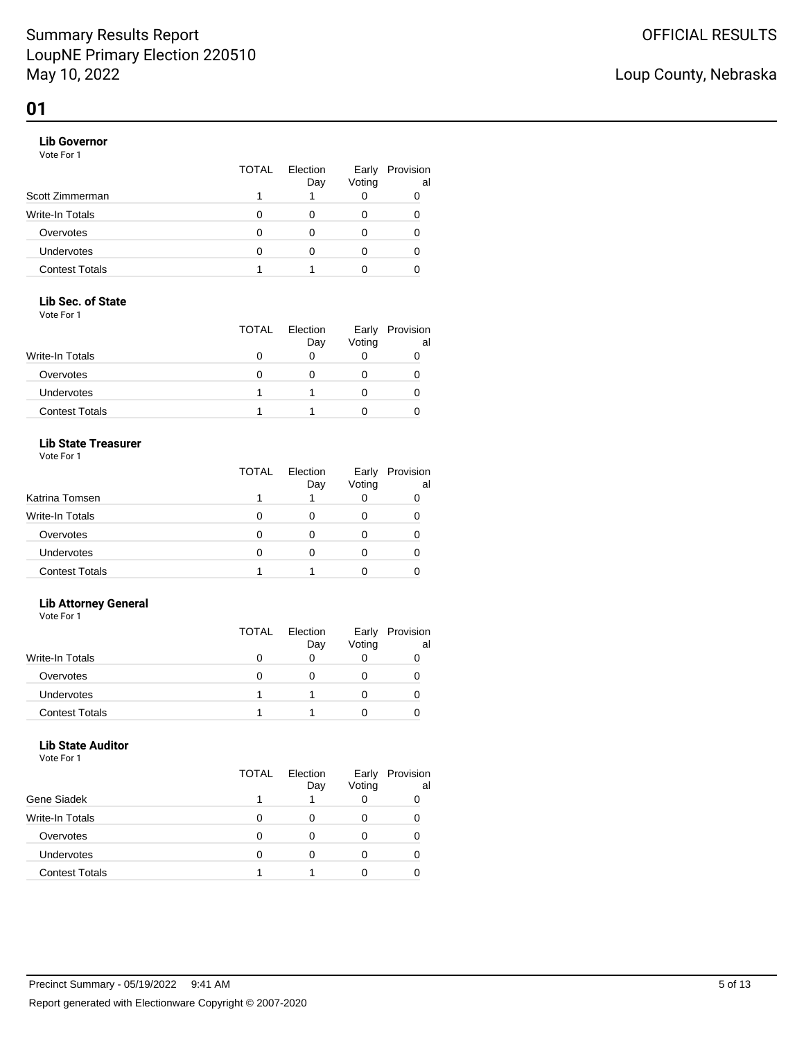### **Lib Governor**

Vote For 1

|                       | <b>TOTAL</b> | Election<br>Day | Early<br>Voting | Provision<br>al |
|-----------------------|--------------|-----------------|-----------------|-----------------|
| Scott Zimmerman       |              |                 |                 |                 |
| Write-In Totals       |              |                 | 0               |                 |
| Overvotes             |              |                 | 0               |                 |
| Undervotes            |              |                 |                 |                 |
| <b>Contest Totals</b> |              |                 |                 |                 |

### **Lib Sec. of State**

Vote For 1

|                       | <b>TOTAL</b> | Election<br>Day | Early<br>Voting | Provision<br>al |
|-----------------------|--------------|-----------------|-----------------|-----------------|
| Write-In Totals       |              |                 |                 |                 |
| Overvotes             |              |                 |                 |                 |
| <b>Undervotes</b>     |              |                 |                 |                 |
| <b>Contest Totals</b> |              |                 |                 |                 |

### **Lib State Treasurer**

Vote For 1

|                       | TOTAL | Election<br>Day | Early<br>Voting | Provision<br>al |
|-----------------------|-------|-----------------|-----------------|-----------------|
| Katrina Tomsen        |       |                 |                 |                 |
| Write-In Totals       |       |                 |                 |                 |
| Overvotes             |       |                 |                 |                 |
| <b>Undervotes</b>     |       |                 |                 |                 |
| <b>Contest Totals</b> |       |                 |                 |                 |

### **Lib Attorney General**

Vote For 1

|                        | TOTAL | Election<br>Day | Early<br>Voting | Provision<br>al |
|------------------------|-------|-----------------|-----------------|-----------------|
| <b>Write-In Totals</b> |       |                 |                 |                 |
| Overvotes              |       |                 |                 |                 |
| <b>Undervotes</b>      |       |                 |                 |                 |
| <b>Contest Totals</b>  |       |                 |                 |                 |

## **Lib State Auditor**

Vote For 1

|                        | <b>TOTAL</b> | Election<br>Day | Early<br>Voting | Provision<br>al |
|------------------------|--------------|-----------------|-----------------|-----------------|
| Gene Siadek            |              |                 |                 |                 |
| <b>Write-In Totals</b> | O            | $\mathbf{0}$    |                 |                 |
| Overvotes              | n            |                 |                 |                 |
| Undervotes             | n            |                 |                 |                 |
| <b>Contest Totals</b>  |              |                 |                 |                 |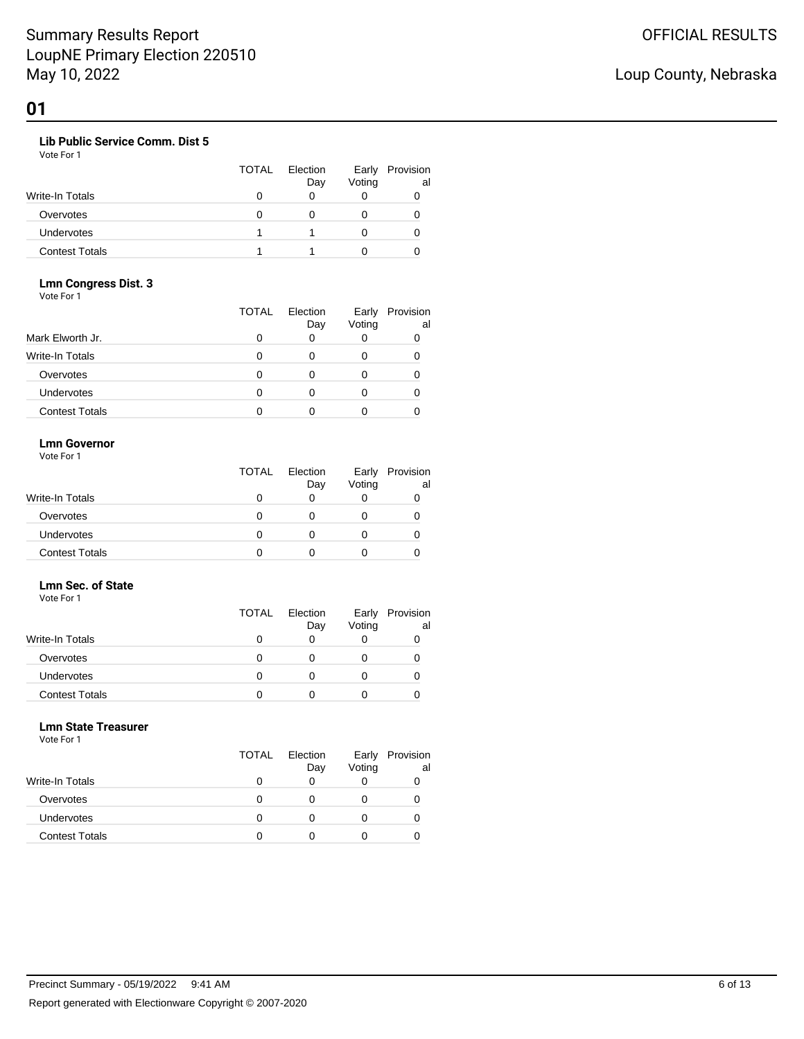### **Lib Public Service Comm. Dist 5**

Vote For 1

|                       | <b>TOTAL</b> | Election<br>Day | Early<br>Voting | Provision<br>al |
|-----------------------|--------------|-----------------|-----------------|-----------------|
| Write-In Totals       |              |                 |                 |                 |
| Overvotes             |              |                 |                 |                 |
| <b>Undervotes</b>     |              |                 |                 |                 |
| <b>Contest Totals</b> |              |                 |                 |                 |

#### **Lmn Congress Dist. 3** Vote For 1

|                       | <b>TOTAL</b> | Election<br>Day | Early<br>Voting | Provision<br>al |
|-----------------------|--------------|-----------------|-----------------|-----------------|
| Mark Elworth Jr.      |              | 0               |                 |                 |
| Write-In Totals       |              |                 | 0               |                 |
| Overvotes             |              | n               |                 |                 |
| <b>Undervotes</b>     |              | O               | O               |                 |
| <b>Contest Totals</b> |              |                 |                 |                 |

## **Lmn Governor**

Vote For 1

|                       | <b>TOTAL</b> | Election<br>Day | Early<br>Voting | Provision<br>al |
|-----------------------|--------------|-----------------|-----------------|-----------------|
| Write-In Totals       |              |                 |                 |                 |
| Overvotes             | 0            |                 |                 |                 |
| Undervotes            |              |                 |                 |                 |
| <b>Contest Totals</b> |              |                 |                 |                 |

## **Lmn Sec. of State**

| Vote For 1             |              |                 |                 |                 |
|------------------------|--------------|-----------------|-----------------|-----------------|
|                        | <b>TOTAL</b> | Election<br>Day | Early<br>Voting | Provision<br>al |
| <b>Write-In Totals</b> |              |                 | 0               |                 |
| Overvotes              | O            |                 | 0               |                 |
| Undervotes             | O            |                 | Ω               |                 |
| <b>Contest Totals</b>  |              |                 |                 |                 |

#### **Lmn State Treasurer**

Vote For 1

|                       | <b>TOTAL</b> | Election<br>Day | Early<br>Voting | Provision<br>al |
|-----------------------|--------------|-----------------|-----------------|-----------------|
| Write-In Totals       | Ω            | 0               |                 |                 |
| Overvotes             | O            |                 |                 |                 |
| <b>Undervotes</b>     |              |                 |                 |                 |
| <b>Contest Totals</b> | n            |                 |                 |                 |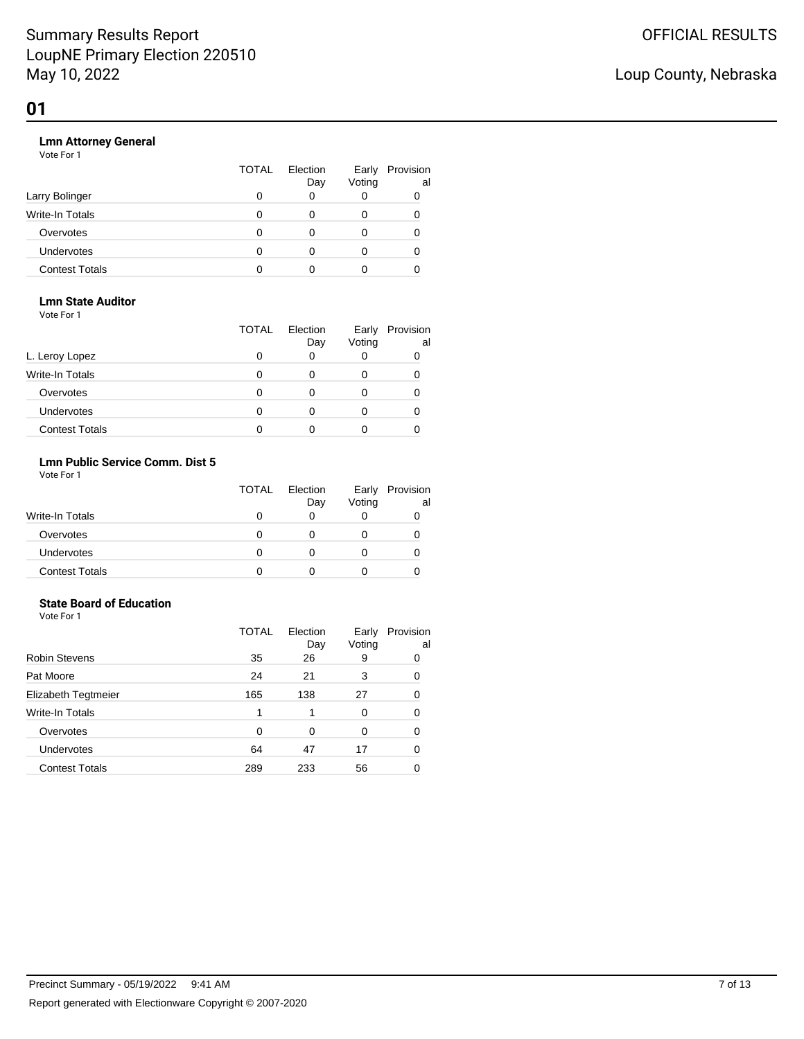## Loup County, Nebraska

#### **Lmn Attorney General**

Vote For 1

|                       | <b>TOTAL</b> | Election<br>Day | Early<br>Voting | Provision<br>al |
|-----------------------|--------------|-----------------|-----------------|-----------------|
| Larry Bolinger        |              |                 |                 |                 |
| Write-In Totals       | $\Omega$     | 0               | 0               |                 |
| Overvotes             | 0            | 0               | $\mathbf{0}$    |                 |
| <b>Undervotes</b>     | 0            | 0               | O               |                 |
| <b>Contest Totals</b> |              |                 |                 |                 |

## **Lmn State Auditor**

| Vote For 1 |  |  |
|------------|--|--|
|            |  |  |

|                        | <b>TOTAL</b> | Election<br>Day | Early<br>Voting | Provision<br>al |
|------------------------|--------------|-----------------|-----------------|-----------------|
| L. Leroy Lopez         |              |                 | 0               |                 |
| <b>Write-In Totals</b> |              |                 | 0               |                 |
| Overvotes              |              | ∩               | 0               |                 |
| Undervotes             |              | ∩               | 0               |                 |
| <b>Contest Totals</b>  |              |                 |                 |                 |

## **Lmn Public Service Comm. Dist 5**

Vote For 1

|                        | <b>TOTAL</b> | Election<br>Day | Early<br>Voting | Provision<br>al |
|------------------------|--------------|-----------------|-----------------|-----------------|
| <b>Write-In Totals</b> |              |                 |                 |                 |
| Overvotes              |              |                 |                 |                 |
| Undervotes             |              |                 |                 |                 |
| <b>Contest Totals</b>  |              |                 |                 |                 |

#### **State Board of Education** Vote For 1

|                       | <b>TOTAL</b> | Election<br>Day | Early<br>Voting | Provision<br>al |
|-----------------------|--------------|-----------------|-----------------|-----------------|
| <b>Robin Stevens</b>  | 35           | 26              | 9               | 0               |
| Pat Moore             | 24           | 21              | 3               | 0               |
| Elizabeth Tegtmeier   | 165          | 138             | 27              | 0               |
| Write-In Totals       |              |                 | 0               | 0               |
| Overvotes             | 0            | 0               | 0               | 0               |
| Undervotes            | 64           | 47              | 17              | 0               |
| <b>Contest Totals</b> | 289          | 233             | 56              |                 |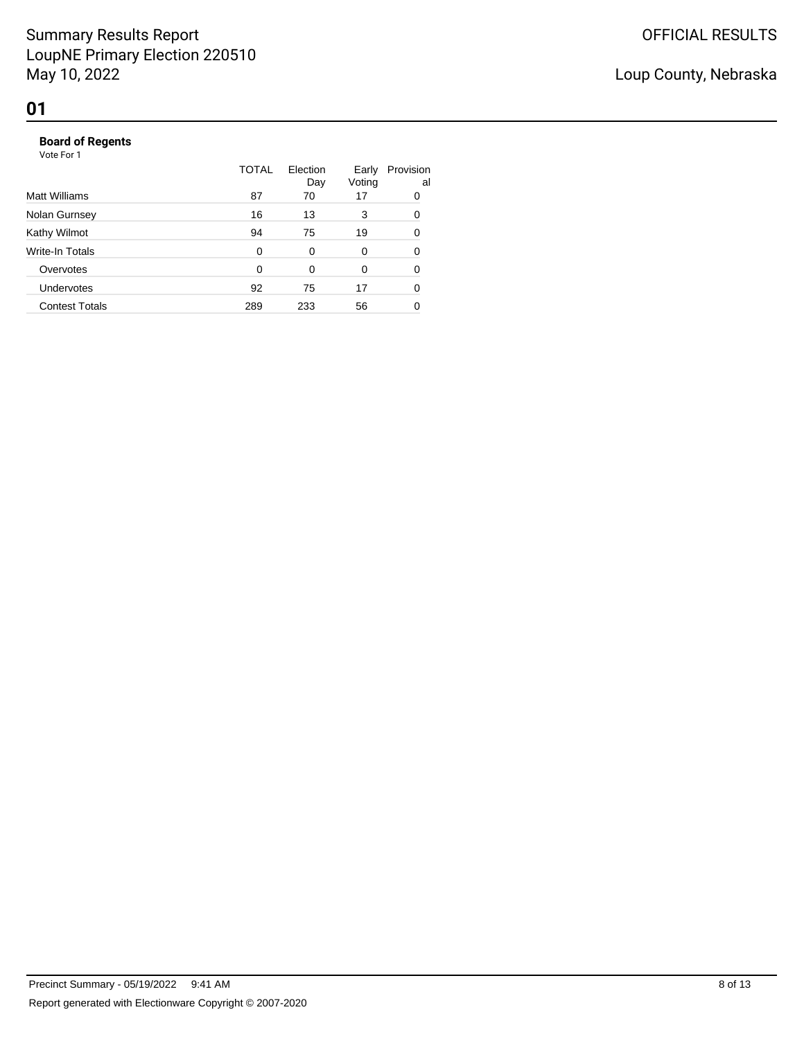|                       | TOTAL    | Election<br>Day | Early<br>Voting | Provision<br>al |
|-----------------------|----------|-----------------|-----------------|-----------------|
| Matt Williams         | 87       | 70              | 17              | 0               |
| Nolan Gurnsey         | 16       | 13              | 3               | 0               |
| Kathy Wilmot          | 94       | 75              | 19              | 0               |
| Write-In Totals       | 0        | 0               | 0               | 0               |
| Overvotes             | $\Omega$ | $\Omega$        | 0               | 0               |
| Undervotes            | 92       | 75              | 17              | 0               |
| <b>Contest Totals</b> | 289      | 233             | 56              |                 |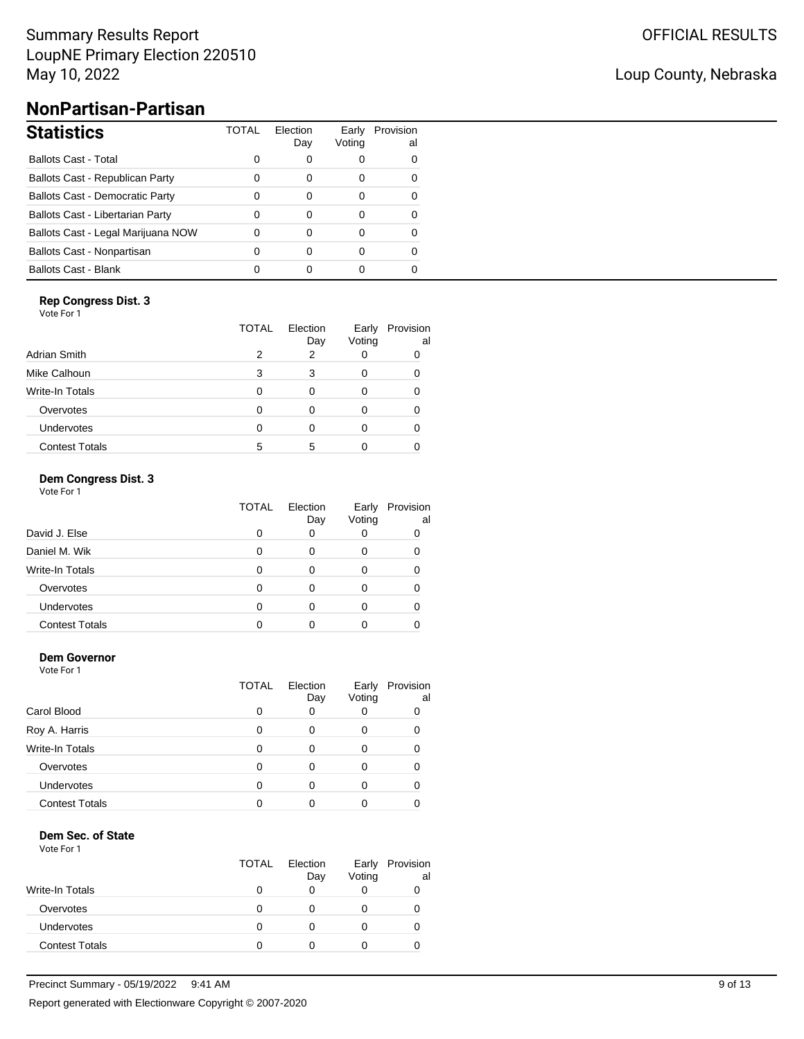## Summary Results Report LoupNE Primary Election 220510 May 10, 2022

## Loup County, Nebraska

# **NonPartisan-Partisan**

| <b>Statistics</b>                      | TOTAL | Election<br>Day | Voting | Early Provision<br>al |
|----------------------------------------|-------|-----------------|--------|-----------------------|
| <b>Ballots Cast - Total</b>            | 0     | 0               | 0      | 0                     |
| Ballots Cast - Republican Party        | 0     | 0               | 0      | O                     |
| <b>Ballots Cast - Democratic Party</b> | 0     | 0               | 0      | 0                     |
| Ballots Cast - Libertarian Party       | 0     | 0               | 0      | O                     |
| Ballots Cast - Legal Marijuana NOW     | 0     | 0               | 0      | 0                     |
| Ballots Cast - Nonpartisan             | 0     | 0               | 0      | 0                     |
| <b>Ballots Cast - Blank</b>            |       | 0               | O      |                       |

### **Rep Congress Dist. 3**

Vote For 1

|                       | <b>TOTAL</b> | Election<br>Day | Early<br>Voting | Provision<br>al |
|-----------------------|--------------|-----------------|-----------------|-----------------|
| Adrian Smith          | 2            | 2               |                 |                 |
| Mike Calhoun          | 3            | 3               |                 |                 |
| Write-In Totals       | O            | O               |                 |                 |
| Overvotes             | 0            |                 |                 |                 |
| Undervotes            | 0            |                 |                 |                 |
| <b>Contest Totals</b> | 5            | 5               |                 |                 |

### **Dem Congress Dist. 3**

| Vote For 1 |  |  |
|------------|--|--|
|------------|--|--|

|                        | TOTAL | Election<br>Day | Early<br>Voting | Provision<br>al |
|------------------------|-------|-----------------|-----------------|-----------------|
| David J. Else          |       |                 | O               |                 |
| Daniel M. Wik          |       |                 | 0               |                 |
| <b>Write-In Totals</b> |       | ∩               | 0               |                 |
| Overvotes              |       |                 | O               |                 |
| Undervotes             |       |                 | O               |                 |
| <b>Contest Totals</b>  |       |                 |                 |                 |

### **Dem Governor**

Vote For 1

|                       | TOTAL | Election<br>Day | Early<br>Voting | Provision<br>al |
|-----------------------|-------|-----------------|-----------------|-----------------|
| Carol Blood           |       |                 | 0               |                 |
| Roy A. Harris         |       |                 | 0               |                 |
| Write-In Totals       |       | ∩               | 0               |                 |
| Overvotes             |       | ∩               | O               |                 |
| <b>Undervotes</b>     |       |                 | O               |                 |
| <b>Contest Totals</b> |       |                 |                 |                 |

### **Dem Sec. of State**

|                        | <b>TOTAL</b> | Election<br>Day | Early<br>Voting | Provision<br>al |
|------------------------|--------------|-----------------|-----------------|-----------------|
| <b>Write-In Totals</b> |              |                 |                 |                 |
| Overvotes              |              |                 |                 |                 |
| Undervotes             |              |                 |                 |                 |
| <b>Contest Totals</b>  |              |                 |                 |                 |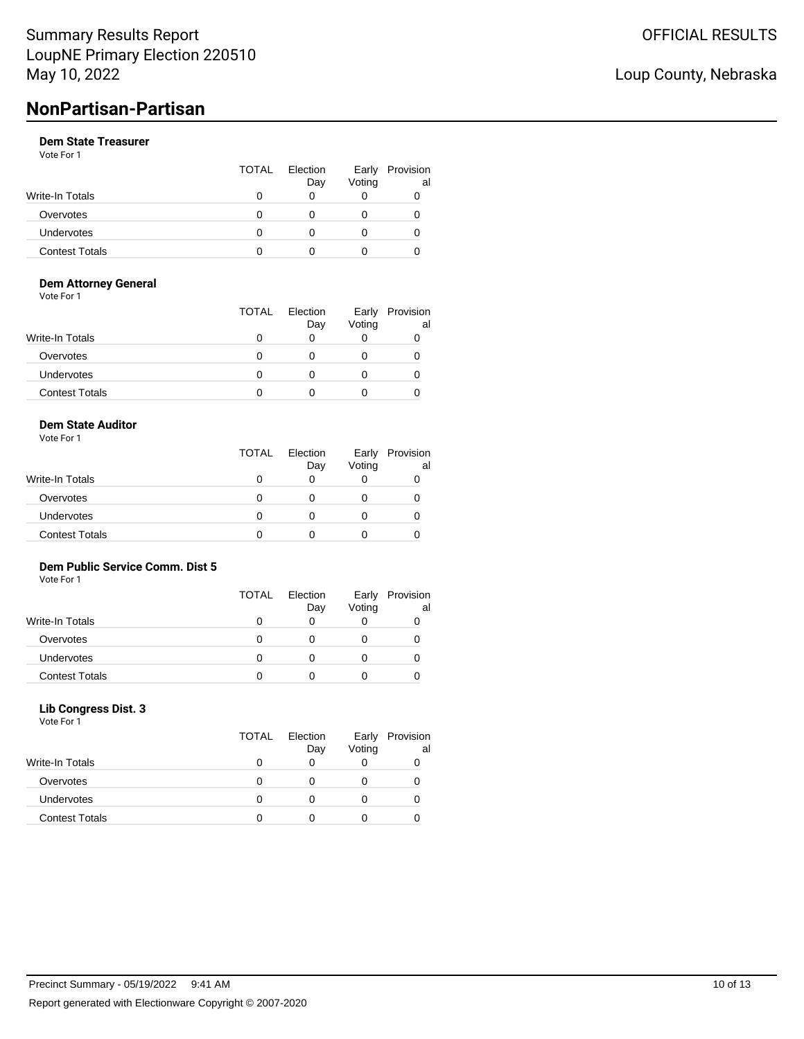# **NonPartisan-Partisan**

### **Dem State Treasurer**

Vote For 1

|                       | <b>TOTAL</b> | Election<br>Day | Early<br>Voting | Provision<br>al |
|-----------------------|--------------|-----------------|-----------------|-----------------|
| Write-In Totals       |              |                 |                 |                 |
| Overvotes             |              |                 |                 |                 |
| <b>Undervotes</b>     |              |                 |                 | O               |
| <b>Contest Totals</b> |              |                 |                 |                 |

### **Dem Attorney General**

Vote For 1

|                       | <b>TOTAL</b> | Election<br>Day | Early<br>Voting | Provision<br>al |
|-----------------------|--------------|-----------------|-----------------|-----------------|
| Write-In Totals       |              |                 |                 |                 |
| Overvotes             |              |                 |                 |                 |
| Undervotes            |              |                 |                 |                 |
| <b>Contest Totals</b> |              |                 |                 |                 |

### **Dem State Auditor**

Vote For 1

|                       | <b>TOTAL</b> | Election<br>Day | Early<br>Voting | Provision<br>al |
|-----------------------|--------------|-----------------|-----------------|-----------------|
| Write-In Totals       |              | 0               |                 |                 |
| Overvotes             |              | Ω               |                 |                 |
| Undervotes            |              | 0               |                 |                 |
| <b>Contest Totals</b> |              |                 |                 |                 |

## **Dem Public Service Comm. Dist 5**

Vote For 1

|                        | TOTAL | Election<br>Day | Early<br>Voting | Provision<br>al |
|------------------------|-------|-----------------|-----------------|-----------------|
| <b>Write-In Totals</b> |       |                 |                 |                 |
| Overvotes              |       |                 |                 |                 |
| <b>Undervotes</b>      |       |                 |                 |                 |
| <b>Contest Totals</b>  |       |                 |                 |                 |

### **Lib Congress Dist. 3**

Vote For 1

|                       | <b>TOTAL</b> | Election<br>Day | Early<br>Voting | Provision<br>al |
|-----------------------|--------------|-----------------|-----------------|-----------------|
| Write-In Totals       |              |                 |                 |                 |
| Overvotes             |              |                 |                 |                 |
| <b>Undervotes</b>     |              |                 |                 |                 |
| <b>Contest Totals</b> |              |                 |                 |                 |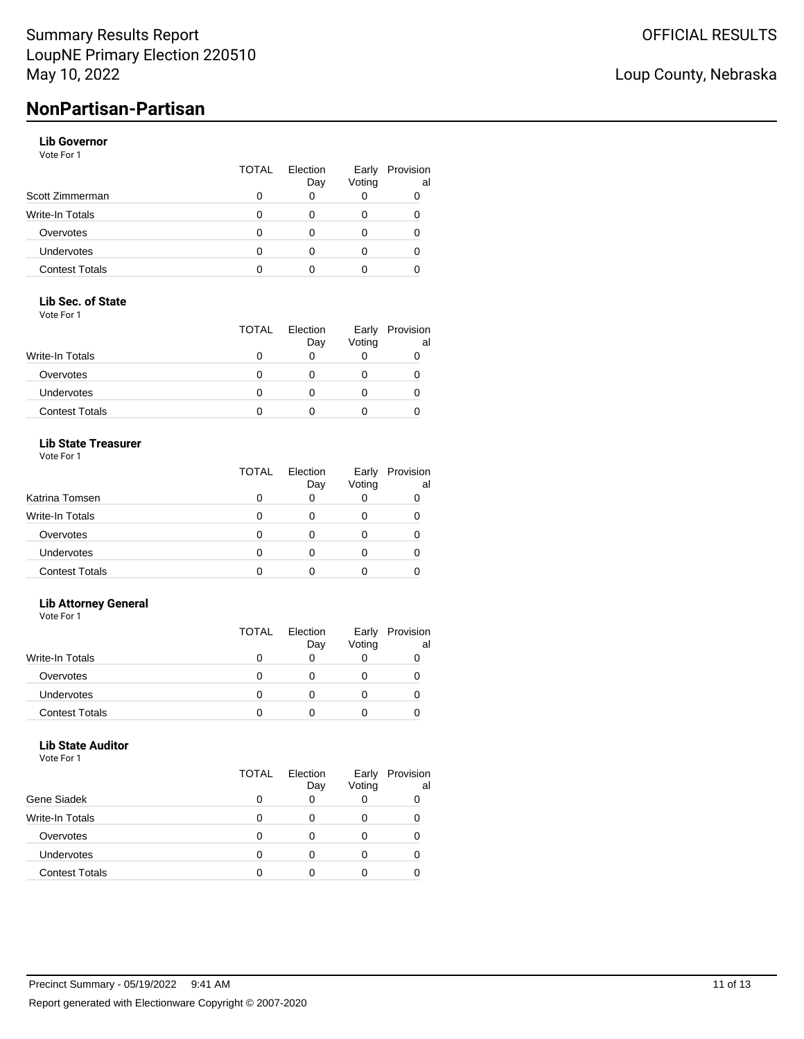## Loup County, Nebraska

# **NonPartisan-Partisan**

## **Lib Governor**

Vote For 1

|                       | <b>TOTAL</b> | Election<br>Day | Early<br>Voting | Provision<br>al |
|-----------------------|--------------|-----------------|-----------------|-----------------|
| Scott Zimmerman       |              |                 |                 |                 |
| Write-In Totals       |              |                 |                 |                 |
| Overvotes             | O            |                 |                 |                 |
| <b>Undervotes</b>     | O            |                 |                 |                 |
| <b>Contest Totals</b> |              |                 |                 |                 |

#### **Lib Sec. of State**

Vote For 1

|                       | <b>TOTAL</b> | Election<br>Day | Early<br>Voting | Provision<br>al |
|-----------------------|--------------|-----------------|-----------------|-----------------|
| Write-In Totals       |              |                 |                 |                 |
| Overvotes             | O            |                 |                 |                 |
| <b>Undervotes</b>     | O            |                 |                 |                 |
| <b>Contest Totals</b> |              |                 |                 |                 |

### **Lib State Treasurer**

Vote For 1

|                       | TOTAL | Election<br>Day | Early<br>Voting | Provision<br>al |
|-----------------------|-------|-----------------|-----------------|-----------------|
| Katrina Tomsen        |       |                 |                 |                 |
| Write-In Totals       |       |                 | Ω               |                 |
| Overvotes             |       |                 | Ω               |                 |
| <b>Undervotes</b>     |       |                 |                 |                 |
| <b>Contest Totals</b> |       |                 |                 |                 |

### **Lib Attorney General**

Vote For 1

|                        | TOTAL | Election<br>Day | Early<br>Voting | Provision<br>al |
|------------------------|-------|-----------------|-----------------|-----------------|
| <b>Write-In Totals</b> |       |                 |                 | U               |
| Overvotes              |       |                 |                 |                 |
| <b>Undervotes</b>      |       |                 |                 |                 |
| <b>Contest Totals</b>  |       |                 |                 |                 |

## **Lib State Auditor**

|                        | <b>TOTAL</b> | Election<br>Day | Early<br>Voting | Provision<br>al |
|------------------------|--------------|-----------------|-----------------|-----------------|
| Gene Siadek            |              | 0               |                 |                 |
| <b>Write-In Totals</b> |              | 0               |                 |                 |
| Overvotes              |              | 0               |                 |                 |
| Undervotes             |              | 0               |                 |                 |
| <b>Contest Totals</b>  |              |                 |                 |                 |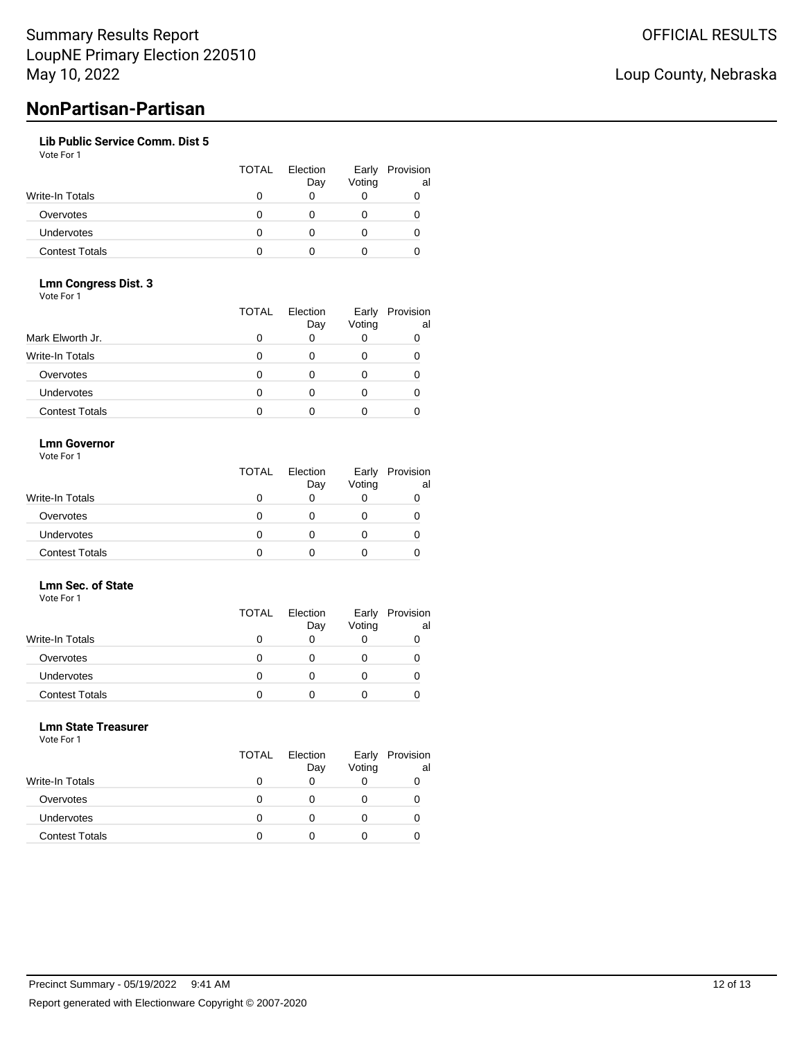# **NonPartisan-Partisan**

### **Lib Public Service Comm. Dist 5**

Vote For 1

|                       | <b>TOTAL</b> | Election<br>Day | Early<br>Voting | Provision<br>al |
|-----------------------|--------------|-----------------|-----------------|-----------------|
| Write-In Totals       |              |                 |                 |                 |
| Overvotes             |              |                 |                 |                 |
| Undervotes            |              |                 |                 |                 |
| <b>Contest Totals</b> |              |                 |                 |                 |

#### **Lmn Congress Dist. 3** Vote For 1

|                       | <b>TOTAL</b> | Election<br>Day | Early<br>Voting | Provision<br>al |
|-----------------------|--------------|-----------------|-----------------|-----------------|
| Mark Elworth Jr.      |              | 0               | 0               |                 |
| Write-In Totals       |              |                 | 0               |                 |
| Overvotes             |              | ∩               | O               |                 |
| Undervotes            | O            | ∩               | O               |                 |
| <b>Contest Totals</b> |              |                 |                 |                 |

### **Lmn Governor**

Vote For 1

|                        | <b>TOTAL</b> | Election<br>Day | Early<br>Voting | Provision<br>al |
|------------------------|--------------|-----------------|-----------------|-----------------|
| <b>Write-In Totals</b> |              |                 |                 |                 |
| Overvotes              |              |                 |                 |                 |
| <b>Undervotes</b>      |              |                 |                 |                 |
| <b>Contest Totals</b>  |              |                 |                 |                 |

#### **Lmn Sec. of State** Vote For 1

|                   | <b>TOTAL</b> | Election<br>Day | Voting | Early Provision<br>al |
|-------------------|--------------|-----------------|--------|-----------------------|
| Write-In Totals   |              |                 |        |                       |
| Overvotes         |              |                 |        |                       |
| <b>Undervotes</b> | 0            |                 |        | O                     |
| Contest Totals    |              |                 |        |                       |

### **Lmn State Treasurer**

Vote For 1

|                       | <b>TOTAL</b> | Election<br>Day | Early<br>Voting | Provision<br>al |
|-----------------------|--------------|-----------------|-----------------|-----------------|
| Write-In Totals       | O            | 0               |                 |                 |
| Overvotes             | O            | Ω               |                 |                 |
| <b>Undervotes</b>     | O            | 0               |                 |                 |
| <b>Contest Totals</b> |              |                 |                 |                 |